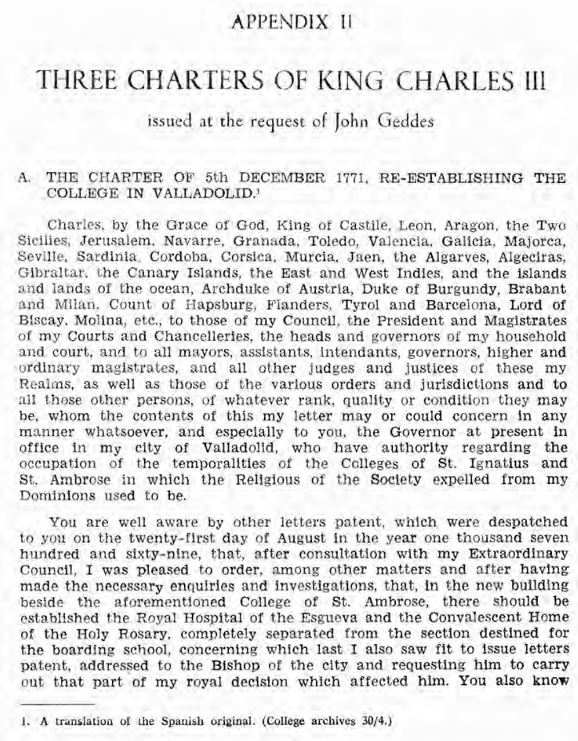## APPENDIX I1

# THREE CHARTERS OF KING CHARLES III

issued at the request of John Geddes

#### A. THE CHARTER OF 5th DECEMBER 1771, RE-ESTABLISHING **THE**  COLLEGE IN VALLADOLID.'

Charles, by the Grace of God, King of Castile, Leon, Aragon, the Two Sicilies, Jerusalem, Navarre, Granada, Toledo, Valencia, Galicia, Majorca, Seville, Sardinia, Cordoba, Corsica, Murcia, Jaen, the Algarves, Algeciras, Gibraltar, the Canary Islands, the East and West Indies, and the islands and lands of the ocean, Archduke of Austria, Duke of Burgundy, Brabant and Milan, Count of Hapsburg, Flanders, Tyrol and Barcelona, Lord of Biscay, Molina, etc., to those of my Council, the President and Magistrates of my Courts and Chancelleries, the heads and governors of my household and court, and to all mayors, assistants, intendants, governors, higher and ordinary magistrates, and all other judges and justices of these my Realms, as well as those of the various orders and jurisdictions and to all those other persons, of whatever rank, quality or condition they may be, whom the contents of this my letter may or could concern in any manner whatsoever, and especially to you, the Governor at present in office in my city of Valladolid, who have authority regarding the occupation of the temporalities of the Colleges of St. Ignatius and St. Ambrose in which the Religious of the Society expelled from my Eominions used to be.

You are well aware by other letters patent, which were despatched to you on the twenty-first day of August in the year one thousand seven hundred and sixty-nine, that, after consultation with my Extraordinary Council, I was pleased to order, among other matters and after having made the necessary enquiries and investigations, that, in the new building beside the aforementioned College of St. Ambrose, there should be established the Royal Hospital of the Esgueva and the Convalescent Home of the Holy Rosary, completely separated from the section destined for the boarding school, concerning which last I also saw fit to issue letters patent, addressed to the Bishop of the city and requesting him to carry out that part of my royal decision which affected him. You also know

<sup>1.</sup> A translation of the Spanish original. (College archives  $30/4$ .)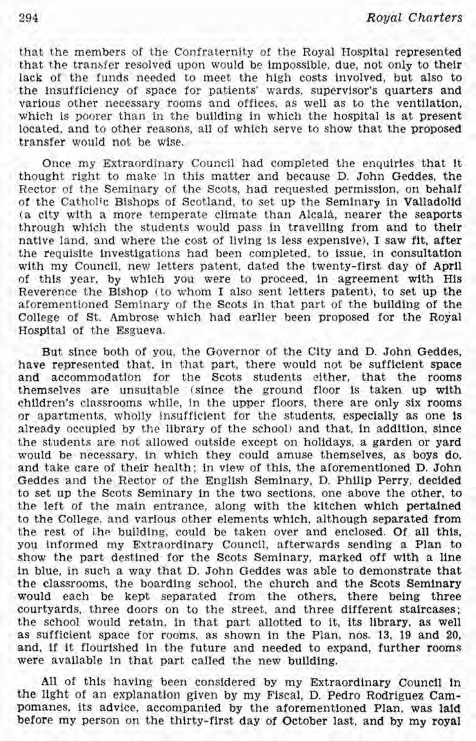that the members of the Confraternity of the Royal Hospital represented that the transfer resolved upon would be impossible, due, not only to their lack of the funds needed to meet the high costs involved, but also to the insufficiency of space for patients' wards, supervisor's quarters and various other necessary rooms and offices, as well as to the ventilation, which is poorer than in the building in which the hospital is at present located, and to other reasons, all of which serve to show that the proposed transfer would not be wise.

Once my Extraordinary Council had completed the enquiries that it thought right to make in this matter and because D. John Geddes, the Rector of the Seminary of the Scots, had requested permission, on behalf of the Catholic Bishops of Scotland, to set up the Seminary in Valladolid (a city with a more temperate climate than Alcalá, nearer the seaports through which the students would pass in travelling from and to their native land, and where the cost of living is less expensive), I saw fit, after the requisite investigations had been completed, to issue, in consultation with my Council, new letters patent, dated the twenty-first day of April of this year, by which you were to proceed, in agreement with His Reverence the Bishop (to whom I also sent letters patent), to set up the aforementioned Seminary of the Scots in that part of the building of the College of St. Ambrose which had earlier been proposed for the Royal Hospital of the Esgueva.

But since both of you, the Governor of the City and D. John Geddes, have represented that, in that part, there would not be sufficient space and accommodation for the Scots students either, that the rooms themselves are unsuitable '(since the ground floor is taken **up** with children's classrooms while, in the upper floors, there are only six rooms or apartments, wholly insufficient for the students, especially as one is already occupied by the library of the school) and that, in addition, since the students are not allowed outside except on holidays, a garden or yard would be necessary, in which they could amuse themselves, as boys do, and take care of their health; in view of this, the aforementioned D. John Geddes and the Rector of the English Seminary, D. Philip Perry, decided to set up the Scots Seminary in the two sections, one above the other, to the left of the main entrance, along with the kitchen which pertained to the College. and various other elements which, although separated from the rest of the building, could be taken over and enclosed. Of all this, you informed my Extraordinary Council, afterwards sending a Plan to show the part destined for the Scots Seminary, marked off with a line in blue, in such a way that D. John Geddes was able to demonstrate that the classrooms, the boarding school, the church and the Scots Seminary would each be kept separated from the others, there being three courtyards, three doors on to the street, and three different staircases; the school would retain, in that part allotted to it, its library, as well as sufficient space for rooms, as shown in the Plan, nos. 13, 19 and 20, and, if it flourished in the future and needed to expand, further rooms were available in that part called the new building.

All of this having been considered by my Extraordinary Council in the light of an explanation given by my Fiscal, D. Pedro Rodriguez Cam-Pomanes, its advice, accompanied by the aforementioned Plan, was laid before my person on the thirty-first day of October last, and by my royal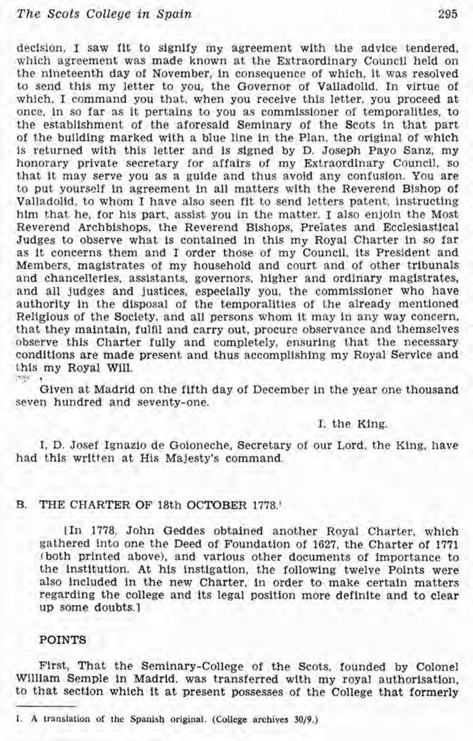### *The Scots College* **in** *Spain* **295**

decision, I saw fit to signify my agreement with the advice tendered, which agreement was made known at the Extraordinary Council held on the nineteenth day'of November, in consequence of which, it was resolved to send this my letter to you, the Governor of Valladolid. In virtue of which, I command you that, when you receive this letter, you proceed at once, in so far as it pertains to you as commissioner of temporalities, to the establishment of the aforesaid Seminary of the Scots in that part of the building marked with a blue line in the Plan, the original of which is returned with this letter and is signed by D. Joseph Payo Sanz, my honorary private secretary for affairs of my Extraordinary Council, so that it may serve you as a guide and thus avoid any confusion. You are to put yourself in agreement in all matters with the Reverend Bishop of Valladolid, to whom I have also seen fit to send letters patent, instructing him that he, for his part, assist you in the matter. I also enjoin the Most Reverend Archbishops, the Reverend Bishops, Prelates and Ecclesiastical Judges to observe what is contained in this my Royal Charter in so far as it concerns them and I order those of my Council, its President and Members, magistrates of my household and court and of other tribunals and chancelleries, assistants, governors, higher and ordinary magistrates, and all judges and justices, especially you, the commissioner who have authority in the disposal of the temporalities of the already mentioned Religious of the Society, and all persons whom it may in any way concern, that they maintain, fulfil and carry out, procure observance and themselves observe this Charter fully and completely, ensuring that the necessary conditions are made present and thus accomplishing my Royal Service and this my Royal Will. **THE R** 

Given at Madrid on the fifth day of December in the year one thousand seven hundred and seventy-one.

I, the King.

I, D. Josef Ignazio de Goioneche, Secretary of our Lord, the King, have had this written at His Majesty's command.

#### **B.** THE CHARTER OF 18th OCTOBER 1778.'

[In 1778, John Geddes obtained another Royal Charter, which gathered into one the Deed of Foundation of 1627, the Charter of 1771 (both printed above), and various other documents of importance to the institution. At his instigation, the following twelve Points were also included in the new Charter, in order to make certain matters regarding the college and its legal position more definite and to clear up some doubts.]

#### POINTS

First, That the Seminary-College of the Scots, founded by Colonel William Semple in Madrid, was transferred with my royal authorisation, to that section which it at present possesses of the College that formerly

**<sup>1.</sup> A translation of the Spanish original. (College archives 3019.)**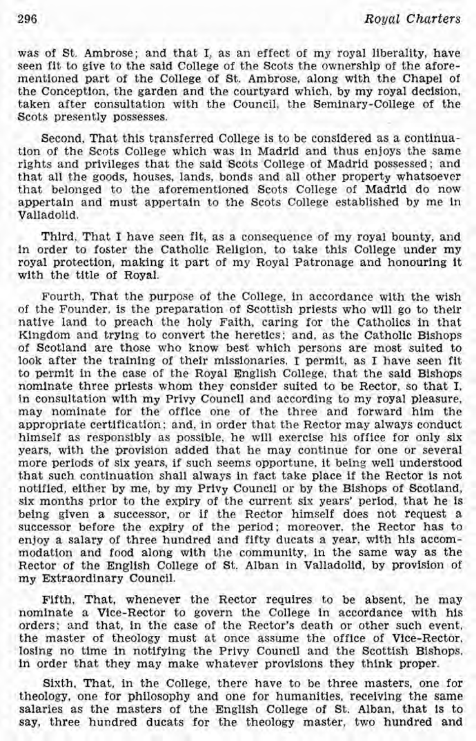was of St. Ambrose; and that I, as an effect of my royal liberality, have seen fit to give to the said College of the Scots the ownership of the aforementioned part of the College of St. Ambrose, along with the Chapel of the Conception, the garden and the courtyard which, by my royal decision, taken after consultation with the Council, the Seminary-College of the Scots presently possesses.

Second, That this transferred College is to be considered as a continuation of the Scots College which was in Madrid and thus enjoys the same rights and privileges that the said Scots College of Madrid possessed; and that all the goods, houses, lands, bonds and all other property whatsoever that belonged to the aforementioned Scots College of Madrid do now appertain and must appertain to the Scots College established by me in Valladolid.

Third, That I have seen fit, as a consequence of my royal bounty, and in order to foster the Catholic Religion, to take this College under my royal protection, making it part of my Royal Patronage and honouring it with the title of Royal.

Fourth, That the purpose of the College, in accordance with the wish of the Founder, is the preparation of Scottish priests who will go to their native land to preach the holy Faith, caring for the Catholics in that Kingdom and trying to convert the heretics; and, as the Catholic Bishops of Scotland are those who know best which persons are most suited to look after the training of their missionaries, I permit, as I have seen fit to permit in the case of the Royal English College, that the said Bishops nominate three priests whom they consider suited to be Rector, so that I, in consultation with my Privy Council and according to my royal pleasure, may nominate for the office one of the three and forward him the appropriate certification; and, in order that the Rector may always conduct himself as responsibly as possible, he will exercise his office for only six years, with the provision added that he may continue for one or several more periods of six years, if such seems opportune, it being well understood that such continuation shall always in fact take place if the Rector is not notified, either by me, by my Privy Council or by the Bishops of Scotland, six months prior to the expiry of the current six years' period, that he is being given a successor, or if the Rector himself does not request a successor before the expiry of the period; moreover, the Rector has to enjoy a salary of three hundred and fifty ducats a year, with his accommodation and food along with the community, in the same way as the Rector of the English College of St. Alban in Valladolid, by provision of my Extraordinary Council.

Fifth, That, whenever the Rector reauires to be absent, he may nominate a Vice-Rector to govern the College in accordance with his orders; and that, in the case of the Rector's death or other such event, the master of theology must at once assume the office of Vice-Rector, losing no time in notifying the Privy Council and the Scottish Bishops, in order that they may make whatever provisions they think proper.

Sixth, That, in the College, there have to be three masters, one for theology, one for philosophy and one for humanities, receiving the same salaries as the masters of the English College of St. Alban, that is to say, three hundred ducats for the theology master, two hundred and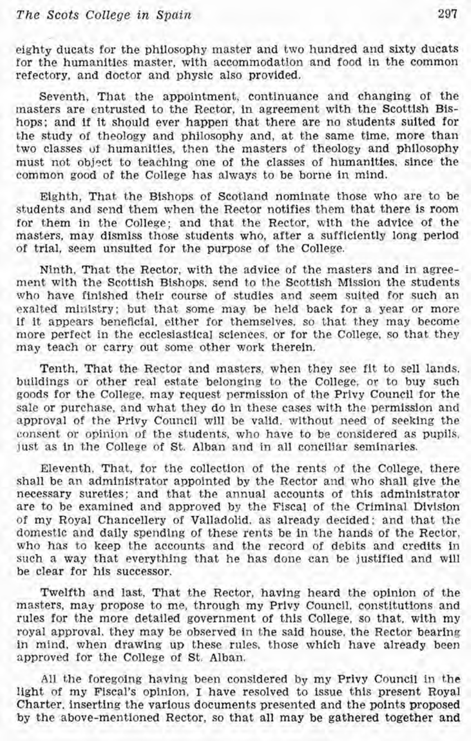eighty ducats for the philosophy master and two hundred and sixty ducats for the humanities master, with accommodation and food in the common refectory, and doctor and physic also provided.

Seventh, That the appointment, continuance and changing of the masters are entrusted to the Rector, in agreement with the Scottish Bishops; and if it should ever happen that there are no students suited for the study of theology and philosophy and, at the same time, more than two classes of humanities, then the masters of theology and philosophy must not object to teaching one of the classes of humanities, since the common good of the College has always to be borne in mind.

Eighth, That the Bishops of Scotland nominate those who are to be students and send them when the Rector notifies them that there is room for them in the College; and that the Rector, with the advice of the masters, may dismiss those students who, after a sufficiently long period of trial, seem unsuited for the purpose of the College.

Ninth, That the Rector, with the advice of the masters and in agreement with the Scottish Bishops, send to the Scottish Mission the students who have finished their course of studies and seem suited for such an exalted ministry; but that some may be held back for a year or more if it appears beneficial, either for themselves, so that they may become more perfect in the ecclesiastical sciences, or for the College, so that they may teach or carry out some other work therein.

Tenth, That the Rector and masters, when they see fit to sell lands, buildings or other real estate belonging to the College, or to buy such goods for the College, may request permission of the Privy Council for the sale or purchase, and what they do in these cases with the permission and approval of the Privy Council will be valid, without need of seeking the consent or opinion of the students, who have to be considered as pupils, just as in the College of St. Alban and in all conciliar seminaries.

Eleventh, That, for the collection of the rents of the College, there shall be an administrator appointed by the Rector and who shall give the necessary sureties; and that the annual accounts of this administrator are to be examined and approved by the Fiscal of the Criminal Division of my Royal Chancellery of Valladolid, as already decided; and that the domestic and daily spending of these rents be in the hands of the Rector, who has to keep the accounts and the record of debits and credits in such a way that everything that he has done can be justified and will be clear for his successor.

Twelfth and last, That the Rector, having heard the opinion of the masters, may propose to me, through my Privy Council, constitutions and rules for the more detailed government of this College, so that, with my royal approval. they may be observed in the said house, the Rector bearing in mind, when drawing up these rules, those which have already been approved for the College of St. Alban.

All the foregoing having been considered by my Privy Council in the light of my Fiscal's opinion, I have resolved to issue this present Royal Charter, inserting the various documents presented and the points proposed by the above-mentioned Rector, so that all may be gathered together and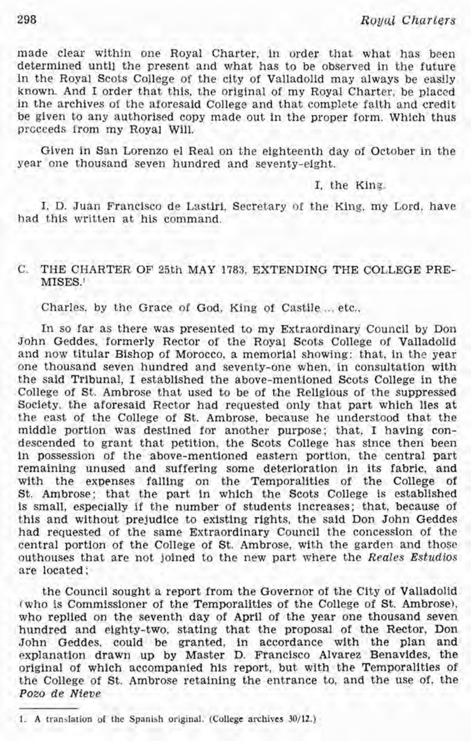made clear within one Royal Charter, in order that what has been determined until the present and what has to be observed in the future in the Royal Scots College of the city of Valladolid may always be easily known. And I order that this, the original of my Royal Charter, be placed in the archives of the aforesaid College and that complete faith and credit be given to any authorised copy made out in the proper form. Which thus prcceeds from my Royal Will.

Given in San Lorenzo el Real on the eighteenth day of October in the year one thousand seven hundred and seventy-eight.

#### I, the King.

I, D. Juan Francisco de Lastiri, Secretary of the King, my Lord, have had this written at his command.

#### C. THE CHARTER OF 25th MAY 1783, EXTENDING THE COLLEGE PRE-MISES.'

Charles, by the Grace of God, King of Castile ... etc.,

In so far as there was presented to my Extraordinary Council by Don John Geddes, formerly Rector of the Royal Scots College of Valladolid and now titular Bishop of Morocco, a memorial showing: that, in the year one thousand seven hundred and seventy-one when, in consultation with the said Tribunal, I established the above-mentioned Scots College in the College of St. Ambrose that used to be of the Religious of the suppressed Society, the aforesaid Rector had requested only that part which lies at the east of the College of St. Ambrose, because he understood that the middle portion was destined for another purpose; that, I having condescended to grant that petition, the Scots College has since then been in possession of the above-mentioned eastern portion, the central part remaining unused and suffering some deterioration in its fabric, and with the expenses falling on the Temporalities of the College of St. Ambrose; that the part in which the Scots College is established is small, especially if the number of students increases; that, because of this and without prejudice to existing rights, the said Don John Geddes had requested of the same Extraordinary Council the concession of the central portion of the College of St. Ambrose, with the garden and those outhouses that are not joined to the new part where the Reales Estudios are located;

the Council sought a report from the Governor of the City of Valladolid (who is Commissioner of the Temporalities of the College of St. Ambrose), who replied on the seventh day of April of the year one thousand seven hundred and eighty-two, stating that the proposal of the Rector, Don John Geddes, could be granted, in accordance with the plan and explanation drawn up by Master D. Francisco Alvarez Benavides, the original of which accompanied his report, but with the Temporalities of the College of St. Ambrose retaining the entrance to, and the use of, the Po20 de Nieve

<sup>1.</sup> A translation of the Spanish original. (College archives  $30/12$ .)